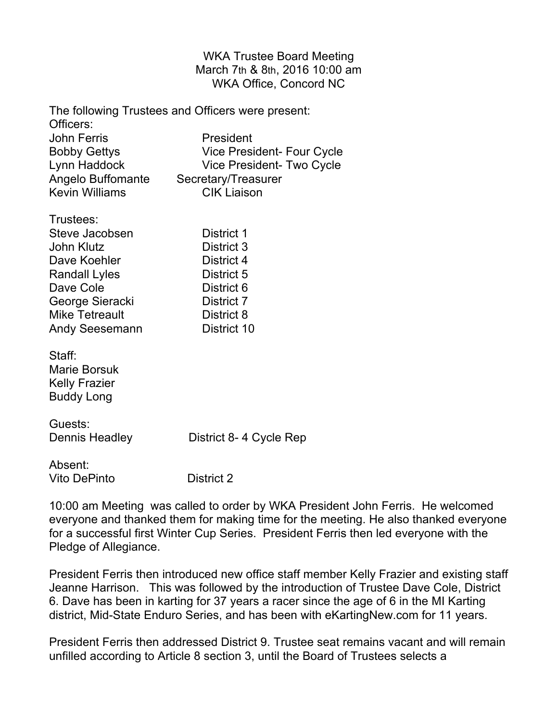WKA Trustee Board Meeting March 7th & 8th, 2016 10:00 am WKA Office, Concord NC

The following Trustees and Officers were present: Officers: John Ferris **President** Bobby Gettys **Vice President- Four Cycle** Lynn Haddock Vice President- Two Cycle Angelo Buffomante Secretary/Treasurer Kevin Williams CIK Liaison Trustees: Steve Jacobsen District 1

John Klutz **District 3** Dave Koehler **District 4** Randall Lyles District 5 Dave Cole **District 6** George Sieracki District 7 Mike Tetreault **District 8** Andy Seesemann District 10

Staff: Marie Borsuk Kelly Frazier Buddy Long

Guests:

Dennis Headley District 8-4 Cycle Rep

Absent: Vito DePinto District 2

10:00 am Meeting was called to order by WKA President John Ferris. He welcomed everyone and thanked them for making time for the meeting. He also thanked everyone for a successful first Winter Cup Series. President Ferris then led everyone with the Pledge of Allegiance.

President Ferris then introduced new office staff member Kelly Frazier and existing staff Jeanne Harrison. This was followed by the introduction of Trustee Dave Cole, District 6. Dave has been in karting for 37 years a racer since the age of 6 in the MI Karting district, Mid-State Enduro Series, and has been with eKartingNew.com for 11 years.

President Ferris then addressed District 9. Trustee seat remains vacant and will remain unfilled according to Article 8 section 3, until the Board of Trustees selects a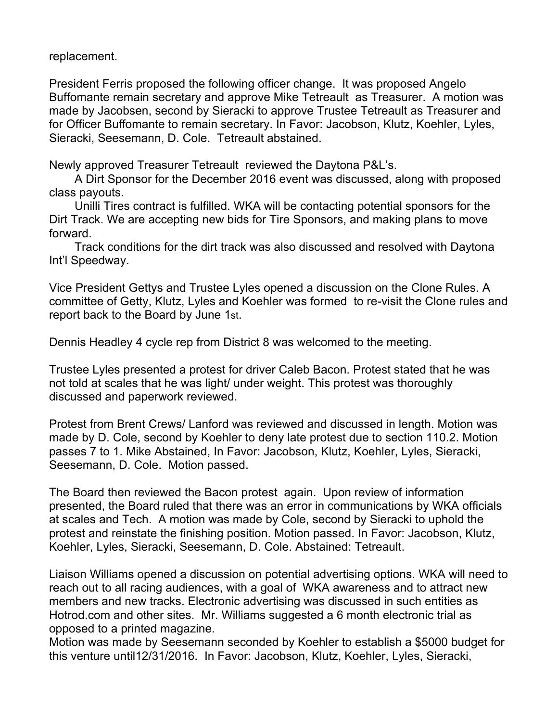replacement.

President Ferris proposed the following officer change. It was proposed Angelo Buffomante remain secretary and approve Mike Tetreault as Treasurer. A motion was made by Jacobsen, second by Sieracki to approve Trustee Tetreault as Treasurer and for Officer Buffomante to remain secretary. In Favor: Jacobson, Klutz, Koehler, Lyles, Sieracki, Seesemann, D. Cole. Tetreault abstained.

Newly approved Treasurer Tetreault reviewed the Daytona P&L's.

A Dirt Sponsor for the December 2016 event was discussed, along with proposed class payouts.

Unilli Tires contract is fulfilled. WKA will be contacting potential sponsors for the Dirt Track. We are accepting new bids for Tire Sponsors, and making plans to move forward.

Track conditions for the dirt track was also discussed and resolved with Daytona Int'l Speedway.

Vice President Gettys and Trustee Lyles opened a discussion on the Clone Rules. A committee of Getty, Klutz, Lyles and Koehler was formed to re-visit the Clone rules and report back to the Board by June 1st.

Dennis Headley 4 cycle rep from District 8 was welcomed to the meeting.

Trustee Lyles presented a protest for driver Caleb Bacon. Protest stated that he was not told at scales that he was light/ under weight. This protest was thoroughly discussed and paperwork reviewed.

Protest from Brent Crews/ Lanford was reviewed and discussed in length. Motion was made by D. Cole, second by Koehler to deny late protest due to section 110.2. Motion passes 7 to 1. Mike Abstained, In Favor: Jacobson, Klutz, Koehler, Lyles, Sieracki, Seesemann, D. Cole. Motion passed.

The Board then reviewed the Bacon protest again. Upon review of information presented, the Board ruled that there was an error in communications by WKA officials at scales and Tech. A motion was made by Cole, second by Sieracki to uphold the protest and reinstate the finishing position. Motion passed. In Favor: Jacobson, Klutz, Koehler, Lyles, Sieracki, Seesemann, D. Cole. Abstained: Tetreault.

Liaison Williams opened a discussion on potential advertising options. WKA will need to reach out to all racing audiences, with a goal of WKA awareness and to attract new members and new tracks. Electronic advertising was discussed in such entities as Hotrod.com and other sites. Mr. Williams suggested a 6 month electronic trial as opposed to a printed magazine.

Motion was made by Seesemann seconded by Koehler to establish a \$5000 budget for this venture until12/31/2016. In Favor: Jacobson, Klutz, Koehler, Lyles, Sieracki,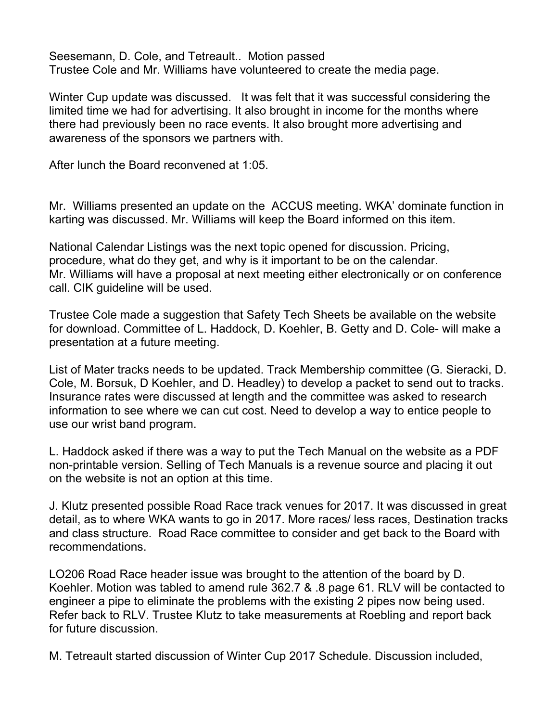Seesemann, D. Cole, and Tetreault.. Motion passed Trustee Cole and Mr. Williams have volunteered to create the media page.

Winter Cup update was discussed. It was felt that it was successful considering the limited time we had for advertising. It also brought in income for the months where there had previously been no race events. It also brought more advertising and awareness of the sponsors we partners with.

After lunch the Board reconvened at 1:05.

Mr. Williams presented an update on the ACCUS meeting. WKA' dominate function in karting was discussed. Mr. Williams will keep the Board informed on this item.

National Calendar Listings was the next topic opened for discussion. Pricing, procedure, what do they get, and why is it important to be on the calendar. Mr. Williams will have a proposal at next meeting either electronically or on conference call. CIK guideline will be used.

Trustee Cole made a suggestion that Safety Tech Sheets be available on the website for download. Committee of L. Haddock, D. Koehler, B. Getty and D. Cole- will make a presentation at a future meeting.

List of Mater tracks needs to be updated. Track Membership committee (G. Sieracki, D. Cole, M. Borsuk, D Koehler, and D. Headley) to develop a packet to send out to tracks. Insurance rates were discussed at length and the committee was asked to research information to see where we can cut cost. Need to develop a way to entice people to use our wrist band program.

L. Haddock asked if there was a way to put the Tech Manual on the website as a PDF non-printable version. Selling of Tech Manuals is a revenue source and placing it out on the website is not an option at this time.

J. Klutz presented possible Road Race track venues for 2017. It was discussed in great detail, as to where WKA wants to go in 2017. More races/ less races, Destination tracks and class structure. Road Race committee to consider and get back to the Board with recommendations.

LO206 Road Race header issue was brought to the attention of the board by D. Koehler. Motion was tabled to amend rule 362.7 & .8 page 61. RLV will be contacted to engineer a pipe to eliminate the problems with the existing 2 pipes now being used. Refer back to RLV. Trustee Klutz to take measurements at Roebling and report back for future discussion.

M. Tetreault started discussion of Winter Cup 2017 Schedule. Discussion included,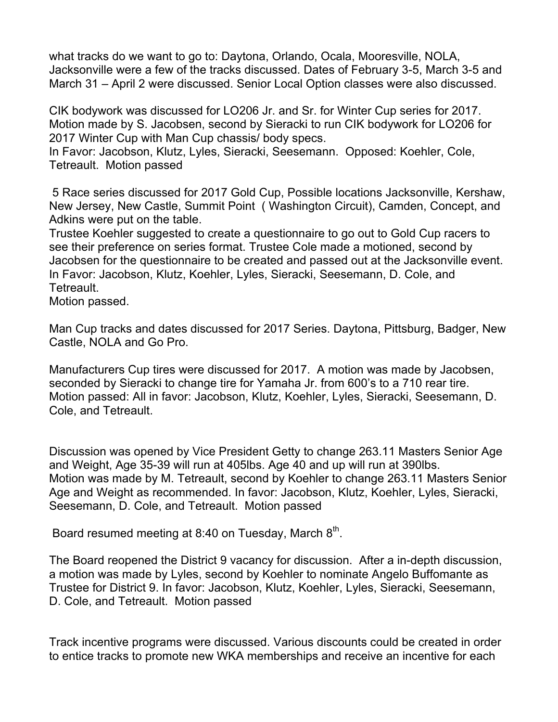what tracks do we want to go to: Daytona, Orlando, Ocala, Mooresville, NOLA, Jacksonville were a few of the tracks discussed. Dates of February 3-5, March 3-5 and March 31 – April 2 were discussed. Senior Local Option classes were also discussed.

CIK bodywork was discussed for LO206 Jr. and Sr. for Winter Cup series for 2017. Motion made by S. Jacobsen, second by Sieracki to run CIK bodywork for LO206 for 2017 Winter Cup with Man Cup chassis/ body specs.

In Favor: Jacobson, Klutz, Lyles, Sieracki, Seesemann. Opposed: Koehler, Cole, Tetreault. Motion passed

5 Race series discussed for 2017 Gold Cup, Possible locations Jacksonville, Kershaw, New Jersey, New Castle, Summit Point ( Washington Circuit), Camden, Concept, and Adkins were put on the table.

Trustee Koehler suggested to create a questionnaire to go out to Gold Cup racers to see their preference on series format. Trustee Cole made a motioned, second by Jacobsen for the questionnaire to be created and passed out at the Jacksonville event. In Favor: Jacobson, Klutz, Koehler, Lyles, Sieracki, Seesemann, D. Cole, and Tetreault.

Motion passed.

Man Cup tracks and dates discussed for 2017 Series. Daytona, Pittsburg, Badger, New Castle, NOLA and Go Pro.

Manufacturers Cup tires were discussed for 2017. A motion was made by Jacobsen, seconded by Sieracki to change tire for Yamaha Jr. from 600's to a 710 rear tire. Motion passed: All in favor: Jacobson, Klutz, Koehler, Lyles, Sieracki, Seesemann, D. Cole, and Tetreault.

Discussion was opened by Vice President Getty to change 263.11 Masters Senior Age and Weight, Age 35-39 will run at 405lbs. Age 40 and up will run at 390lbs. Motion was made by M. Tetreault, second by Koehler to change 263.11 Masters Senior Age and Weight as recommended. In favor: Jacobson, Klutz, Koehler, Lyles, Sieracki, Seesemann, D. Cole, and Tetreault. Motion passed

Board resumed meeting at 8:40 on Tuesday, March  $8<sup>th</sup>$ .

The Board reopened the District 9 vacancy for discussion. After a in-depth discussion, a motion was made by Lyles, second by Koehler to nominate Angelo Buffomante as Trustee for District 9. In favor: Jacobson, Klutz, Koehler, Lyles, Sieracki, Seesemann, D. Cole, and Tetreault. Motion passed

Track incentive programs were discussed. Various discounts could be created in order to entice tracks to promote new WKA memberships and receive an incentive for each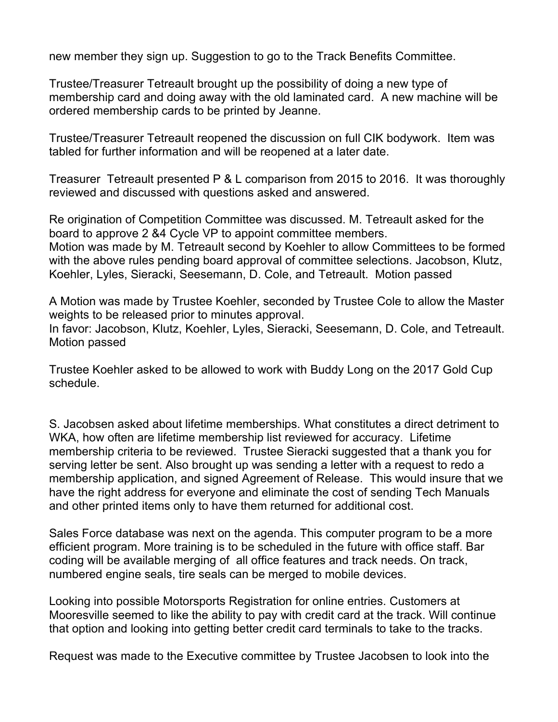new member they sign up. Suggestion to go to the Track Benefits Committee.

Trustee/Treasurer Tetreault brought up the possibility of doing a new type of membership card and doing away with the old laminated card. A new machine will be ordered membership cards to be printed by Jeanne.

Trustee/Treasurer Tetreault reopened the discussion on full CIK bodywork. Item was tabled for further information and will be reopened at a later date.

Treasurer Tetreault presented P & L comparison from 2015 to 2016. It was thoroughly reviewed and discussed with questions asked and answered.

Re origination of Competition Committee was discussed. M. Tetreault asked for the board to approve 2 &4 Cycle VP to appoint committee members. Motion was made by M. Tetreault second by Koehler to allow Committees to be formed with the above rules pending board approval of committee selections. Jacobson, Klutz, Koehler, Lyles, Sieracki, Seesemann, D. Cole, and Tetreault. Motion passed

A Motion was made by Trustee Koehler, seconded by Trustee Cole to allow the Master weights to be released prior to minutes approval. In favor: Jacobson, Klutz, Koehler, Lyles, Sieracki, Seesemann, D. Cole, and Tetreault. Motion passed

Trustee Koehler asked to be allowed to work with Buddy Long on the 2017 Gold Cup schedule.

S. Jacobsen asked about lifetime memberships. What constitutes a direct detriment to WKA, how often are lifetime membership list reviewed for accuracy. Lifetime membership criteria to be reviewed. Trustee Sieracki suggested that a thank you for serving letter be sent. Also brought up was sending a letter with a request to redo a membership application, and signed Agreement of Release. This would insure that we have the right address for everyone and eliminate the cost of sending Tech Manuals and other printed items only to have them returned for additional cost.

Sales Force database was next on the agenda. This computer program to be a more efficient program. More training is to be scheduled in the future with office staff. Bar coding will be available merging of all office features and track needs. On track, numbered engine seals, tire seals can be merged to mobile devices.

Looking into possible Motorsports Registration for online entries. Customers at Mooresville seemed to like the ability to pay with credit card at the track. Will continue that option and looking into getting better credit card terminals to take to the tracks.

Request was made to the Executive committee by Trustee Jacobsen to look into the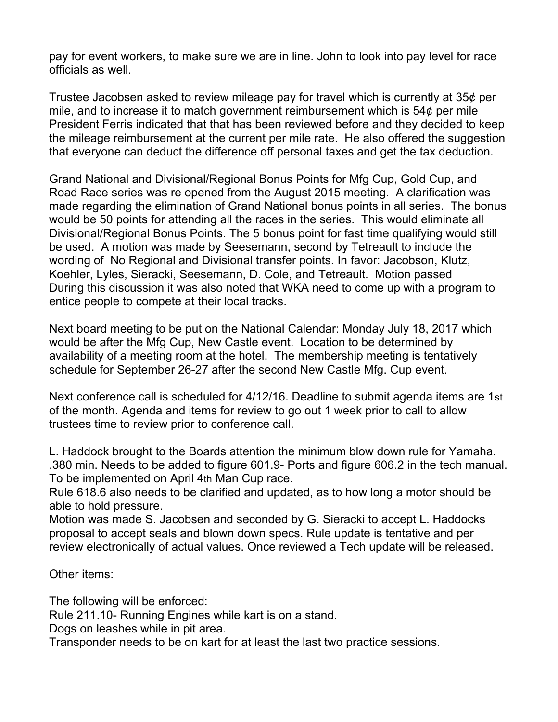pay for event workers, to make sure we are in line. John to look into pay level for race officials as well.

Trustee Jacobsen asked to review mileage pay for travel which is currently at 35¢ per mile, and to increase it to match government reimbursement which is 54¢ per mile President Ferris indicated that that has been reviewed before and they decided to keep the mileage reimbursement at the current per mile rate. He also offered the suggestion that everyone can deduct the difference off personal taxes and get the tax deduction.

Grand National and Divisional/Regional Bonus Points for Mfg Cup, Gold Cup, and Road Race series was re opened from the August 2015 meeting. A clarification was made regarding the elimination of Grand National bonus points in all series. The bonus would be 50 points for attending all the races in the series. This would eliminate all Divisional/Regional Bonus Points. The 5 bonus point for fast time qualifying would still be used. A motion was made by Seesemann, second by Tetreault to include the wording of No Regional and Divisional transfer points. In favor: Jacobson, Klutz, Koehler, Lyles, Sieracki, Seesemann, D. Cole, and Tetreault. Motion passed During this discussion it was also noted that WKA need to come up with a program to entice people to compete at their local tracks.

Next board meeting to be put on the National Calendar: Monday July 18, 2017 which would be after the Mfg Cup, New Castle event. Location to be determined by availability of a meeting room at the hotel. The membership meeting is tentatively schedule for September 26-27 after the second New Castle Mfg. Cup event.

Next conference call is scheduled for 4/12/16. Deadline to submit agenda items are 1st of the month. Agenda and items for review to go out 1 week prior to call to allow trustees time to review prior to conference call.

L. Haddock brought to the Boards attention the minimum blow down rule for Yamaha. .380 min. Needs to be added to figure 601.9- Ports and figure 606.2 in the tech manual. To be implemented on April 4th Man Cup race.

Rule 618.6 also needs to be clarified and updated, as to how long a motor should be able to hold pressure.

Motion was made S. Jacobsen and seconded by G. Sieracki to accept L. Haddocks proposal to accept seals and blown down specs. Rule update is tentative and per review electronically of actual values. Once reviewed a Tech update will be released.

Other items:

The following will be enforced: Rule 211.10- Running Engines while kart is on a stand.

Dogs on leashes while in pit area.

Transponder needs to be on kart for at least the last two practice sessions.